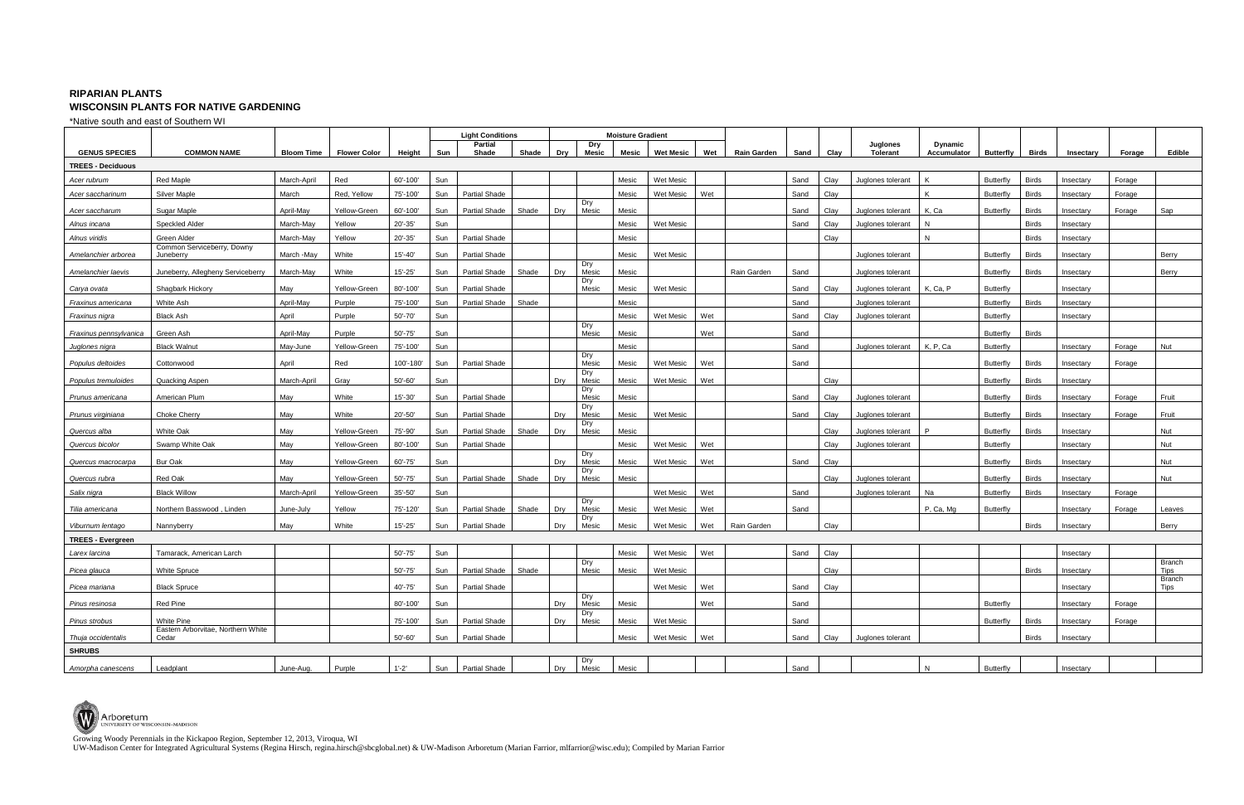Growing Woody Perennials in the Kickapoo Region, September 12, 2013, Viroqua, WI

UW-Madison Center for Integrated Agricultural Systems (Regina Hirsch, regina.hirsch@sbcglobal.net) & UW-Madison Arboretum (Marian Farrior, mlfarrior@wisc.edu); Compiled by Marian Farrior

## **RIPARIAN PLANTS WISCONSIN PLANTS FOR NATIVE GARDENING**

\*Native south and east of Southern WI

|                          |                                             |             |                     |             | <b>Light Conditions</b> |                         |       |     | <b>Moisture Gradient</b> |       |                  |     |                    |      |      |                             |                                      |                  |              |           |        |                              |
|--------------------------|---------------------------------------------|-------------|---------------------|-------------|-------------------------|-------------------------|-------|-----|--------------------------|-------|------------------|-----|--------------------|------|------|-----------------------------|--------------------------------------|------------------|--------------|-----------|--------|------------------------------|
| <b>GENUS SPECIES</b>     | <b>COMMON NAME</b>                          | Bloom Time  | <b>Flower Color</b> | Height      | Sun                     | <b>Partial</b><br>Shade | Shade | Dry | Dry<br><b>Mesic</b>      | Mesic | <b>Wet Mesic</b> | Wet | <b>Rain Garden</b> | Sand | Clay | Juglones<br><b>Tolerant</b> | <b>Dynamic</b><br><b>Accumulator</b> | Butterfly        | Birds        | Insectary | Forage | Edible                       |
| <b>TREES - Deciduous</b> |                                             |             |                     |             |                         |                         |       |     |                          |       |                  |     |                    |      |      |                             |                                      |                  |              |           |        |                              |
| Acer rubrum              | <b>Red Maple</b>                            | March-April | Red                 | 60'-100'    | Sun                     |                         |       |     |                          | Mesic | Wet Mesic        |     |                    | Sand | Clay | Juglones tolerant           |                                      | <b>Butterfly</b> | <b>Birds</b> | Insectary | Forage |                              |
| Acer saccharinum         | <b>Silver Maple</b>                         | March       | Red, Yellow         | 75'-100'    | Sun                     | Partial Shade           |       |     |                          | Mesic | Wet Mesic        | Wet |                    | Sand | Clay |                             |                                      | <b>Butterfly</b> | <b>Birds</b> | Insectary | Forage |                              |
| Acer saccharum           | Sugar Maple                                 | April-May   | Yellow-Green        | 60'-100'    | Sun                     | Partial Shade           | Shade | Dry | Dry<br>Mesic             | Mesic |                  |     |                    | Sand | Clay | Juglones tolerant           | K, Ca                                | Butterfly        | <b>Birds</b> | Insectary | Forage | Sap                          |
| Alnus incana             | Speckled Alder                              | March-May   | Yellow              | 20'-35'     | Sun                     |                         |       |     |                          | Mesic | Wet Mesic        |     |                    | Sand | Clay | Juglones tolerant           | N                                    |                  | <b>Birds</b> | Insectary |        |                              |
| Alnus viridis            | Green Alder                                 | March-May   | Yellow              | 20'-35'     | Sun                     | <b>Partial Shade</b>    |       |     |                          | Mesic |                  |     |                    |      | Clay |                             | N                                    |                  | <b>Birds</b> | Insectary |        |                              |
| Amelanchier arborea      | Common Serviceberry, Downy                  |             |                     | $15' - 40'$ |                         |                         |       |     |                          |       |                  |     |                    |      |      |                             |                                      |                  |              |           |        |                              |
|                          | Juneberry                                   | March -May  | White               |             | Sun                     | <b>Partial Shade</b>    |       |     | Dry                      | Mesic | <b>Wet Mesic</b> |     |                    |      |      | Juglones tolerant           |                                      | Butterfly        | <b>Birds</b> | Insectary |        | Berry                        |
| Amelanchier laevis       | Juneberry, Allegheny Serviceberry           | March-May   | White               | $15' - 25'$ | Sun                     | <b>Partial Shade</b>    | Shade | Dry | Mesic<br>Dry             | Mesic |                  |     | Rain Garden        | Sand |      | Juglones tolerant           |                                      | Butterfly        | <b>Birds</b> | Insectary |        | Berry                        |
| Carya ovata              | Shagbark Hickory                            | May         | Yellow-Green        | 80'-100'    | Sun                     | <b>Partial Shade</b>    |       |     | Mesic                    | Mesic | <b>Wet Mesic</b> |     |                    | Sand | Clay | Juglones tolerant           | K, Ca, P                             | <b>Butterfly</b> |              | Insectary |        |                              |
| Fraxinus americana       | White Ash                                   | April-May   | Purple              | 75'-100'    | Sun                     | Partial Shade           | Shade |     |                          | Mesic |                  |     |                    | Sand |      | Juglones tolerant           |                                      | Butterfly        | <b>Birds</b> | Insectary |        |                              |
| Fraxinus nigra           | <b>Black Ash</b>                            | April       | Purple              | 50'-70'     | Sun                     |                         |       |     | Dry                      | Mesic | Wet Mesic        | Wet |                    | Sand | Clay | Juglones tolerant           |                                      | <b>Butterfly</b> |              | Insectary |        |                              |
| Fraxinus pennsylvanica   | Green Ash                                   | April-May   | Purple              | $50' - 75'$ | Sun                     |                         |       |     | Mesic                    | Mesic |                  | Wet |                    | Sand |      |                             |                                      | Butterfly        | <b>Birds</b> |           |        |                              |
| Juglones nigra           | <b>Black Walnut</b>                         | May-June    | Yellow-Green        | 75'-100'    | Sun                     |                         |       |     |                          | Mesic |                  |     |                    | Sand |      | Juglones tolerant           | K, P, Ca                             | <b>Butterfly</b> |              | Insectary | Forage | Nut                          |
| Populus deltoides        | Cottonwood                                  | April       | Red                 | 100'-180'   | Sun                     | <b>Partial Shade</b>    |       |     | Dry<br>Mesic             | Mesic | Wet Mesic        | Wet |                    | Sand |      |                             |                                      | Butterfly        | <b>Birds</b> | Insectary | Forage |                              |
| Populus tremuloides      | Quacking Aspen                              | March-April | Gray                | 50'-60'     | Sun                     |                         |       | Dry | Dry<br>Mesic             | Mesic | Wet Mesic        | Wet |                    |      | Clay |                             |                                      | <b>Butterfly</b> | <b>Birds</b> | Insectary |        |                              |
| Prunus americana         | American Plum                               | May         | White               | 15'-30'     | Sun                     | Partial Shade           |       |     | Dry<br>Mesic             | Mesic |                  |     |                    | Sand | Clay | Juglones tolerant           |                                      | <b>Butterfly</b> | <b>Birds</b> | Insectary | Forage | Fruit                        |
| Prunus virginiana        | <b>Choke Cherry</b>                         | May         | White               | 20'-50'     | Sun                     | Partial Shade           |       | Dry | Dry<br>Mesic             | Mesic | Wet Mesic        |     |                    | Sand | Clay | Juglones tolerant           |                                      | <b>Butterfly</b> | <b>Birds</b> | Insectary | Forage | Fruit                        |
| Quercus alba             | <b>White Oak</b>                            | May         | Yellow-Green        | 75'-90      | Sun                     | <b>Partial Shade</b>    | Shade | Dry | Dry<br>Mesic             | Mesic |                  |     |                    |      | Clay | Juglones tolerant           |                                      | <b>Butterfly</b> | <b>Birds</b> | Insectary |        | Nut                          |
| Quercus bicolor          | Swamp White Oak                             | May         | Yellow-Green        | 80'-100'    | Sun                     | <b>Partial Shade</b>    |       |     |                          | Mesic | Wet Mesic        | Wet |                    |      | Clay | Juglones tolerant           |                                      | <b>Butterfly</b> |              | Insectary |        | Nut                          |
| Quercus macrocarpa       | Bur Oak                                     | May         | Yellow-Green        | 60'-75'     | Sun                     |                         |       | Dry | Dry<br>Mesic             | Mesic | Wet Mesic        | Wet |                    | Sand | Clay |                             |                                      | Butterfly        | <b>Birds</b> | Insectary |        | Nut                          |
| Quercus rubra            | Red Oak                                     | May         | Yellow-Green        | 50'-75'     | Sun                     | Partial Shade           | Shade | Dry | Dry<br>Mesic             | Mesic |                  |     |                    |      | Clay | Juglones tolerant           |                                      | Butterfly        | <b>Birds</b> | Insectary |        | Nut                          |
| Salix nigra              | <b>Black Willow</b>                         | March-April | Yellow-Green        | 35'-50'     | Sun                     |                         |       |     |                          |       | Wet Mesic        | Wet |                    | Sand |      | Juglones tolerant           | Na                                   | <b>Butterfly</b> | <b>Birds</b> | Insectary | Forage |                              |
| Tilia americana          | Northern Basswood, Linden                   | June-July   | Yellow              | 75'-120'    | Sun                     | Partial Shade           | Shade | Dry | Dry<br>Mesic             | Mesic | Wet Mesic        | Wet |                    | Sand |      |                             | P, Ca, Mg                            | Butterfly        |              | Insectary | Forage | Leaves                       |
| Viburnum lentago         | Nannyberry                                  | May         | White               | $15' - 25'$ | Sun                     | <b>Partial Shade</b>    |       | Dry | Dry<br>Mesic             | Mesic | Wet Mesic        | Wet | Rain Garden        |      | Clay |                             |                                      |                  | <b>Birds</b> | Insectary |        | Berry                        |
| <b>TREES - Evergreen</b> |                                             |             |                     |             |                         |                         |       |     |                          |       |                  |     |                    |      |      |                             |                                      |                  |              |           |        |                              |
| Larex larcina            | Tamarack, American Larch                    |             |                     | $50' - 75'$ | Sun                     |                         |       |     |                          | Mesic | Wet Mesic        | Wet |                    | Sand | Clay |                             |                                      |                  |              | Insectary |        |                              |
| Picea glauca             | <b>White Spruce</b>                         |             |                     | $50' - 75'$ | Sun                     | Partial Shade           | Shade |     | Dry<br>Mesic             | Mesic | <b>Wet Mesic</b> |     |                    |      | Clay |                             |                                      |                  | <b>Birds</b> | Insectary |        | <b>Branch</b><br><b>Tips</b> |
| Picea mariana            | <b>Black Spruce</b>                         |             |                     | 40'-75'     |                         | Sun Partial Shade       |       |     |                          |       | Wet Mesic Wet    |     |                    | Sand | Clay |                             |                                      |                  |              | Insectary |        | <b>Branch</b><br>Tips        |
| Pinus resinosa           | Red Pine                                    |             |                     | 80'-100'    | Sun                     |                         |       | Dry | Dry<br>Mesic             | Mesic |                  | Wet |                    | Sand |      |                             |                                      | Butterfly        |              | Insectary | Forage |                              |
| Pinus strobus            | White Pine                                  |             |                     | 75'-100'    | Sun                     | <b>Partial Shade</b>    |       | Dry | Dry<br>Mesic             | Mesic | Wet Mesic        |     |                    | Sand |      |                             |                                      | Butterfly        | <b>Birds</b> | Insectary | Forage |                              |
| Thuja occidentalis       | Eastern Arborvitae, Northern White<br>Cedar |             |                     | 50'-60'     | Sun                     | <b>Partial Shade</b>    |       |     |                          | Mesic | Wet Mesic        | Wet |                    | Sand | Clay | Juglones tolerant           |                                      |                  | <b>Birds</b> | Insectary |        |                              |
| <b>SHRUBS</b>            |                                             |             |                     |             |                         |                         |       |     |                          |       |                  |     |                    |      |      |                             |                                      |                  |              |           |        |                              |
| Amorpha canescens        | Leadplant                                   | June-Aug.   | Purple              | $1'-2'$     | Sun                     | <b>Partial Shade</b>    |       | Dry | Dry<br>Mesic             | Mesic |                  |     |                    | Sand |      |                             | N                                    | Butterfly        |              | Insectary |        |                              |